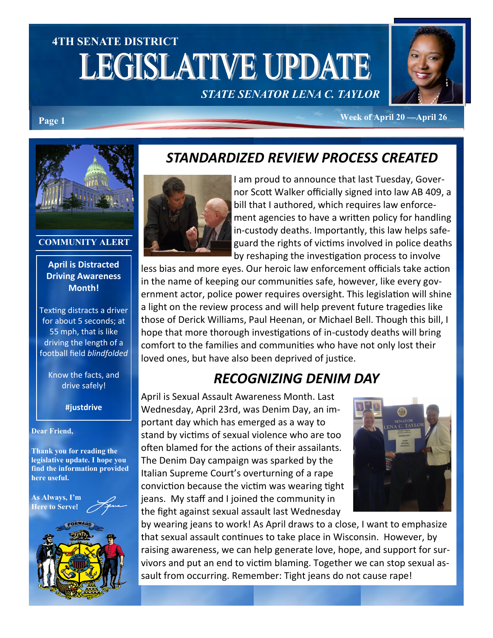# **4TH SENATE DISTRICT LEGISLATIVE UPDATE** *STATE SENATOR LENA C. TAYLOR*



**Week of April 20 —April 26 Page 1**



### **COMMUNITY ALERT**

### **April is Distracted Driving Awareness Month!**

Texting distracts a driver for about 5 seconds; at 55 mph, that is like driving the length of a football field *blindfolded*

Know the facts, and drive safely!

### **#justdrive**

### **Dear Friend,**

**Thank you for reading the legislative update. I hope you find the information provided here useful.**

**As Always, I'm Here to Serve**!



### *STANDARDIZED REVIEW PROCESS CREATED*



I am proud to announce that last Tuesday, Governor Scott Walker officially signed into law AB 409, a bill that I authored, which requires law enforcement agencies to have a written policy for handling in-custody deaths. Importantly, this law helps safeguard the rights of victims involved in police deaths by reshaping the investigation process to involve

less bias and more eyes. Our heroic law enforcement officials take action in the name of keeping our communities safe, however, like every government actor, police power requires oversight. This legislation will shine a light on the review process and will help prevent future tragedies like those of Derick Williams, Paul Heenan, or Michael Bell. Though this bill, I hope that more thorough investigations of in-custody deaths will bring comfort to the families and communities who have not only lost their loved ones, but have also been deprived of justice.

### *RECOGNIZING DENIM DAY*

April is Sexual Assault Awareness Month. Last Wednesday, April 23rd, was Denim Day, an important day which has emerged as a way to stand by victims of sexual violence who are too often blamed for the actions of their assailants. The Denim Day campaign was sparked by the Italian Supreme Court's overturning of a rape conviction because the victim was wearing tight jeans. My staff and I joined the community in the fight against sexual assault last Wednesday



by wearing jeans to work! As April draws to a close, I want to emphasize that sexual assault continues to take place in Wisconsin. However, by raising awareness, we can help generate love, hope, and support for survivors and put an end to victim blaming. Together we can stop sexual assault from occurring. Remember: Tight jeans do not cause rape!